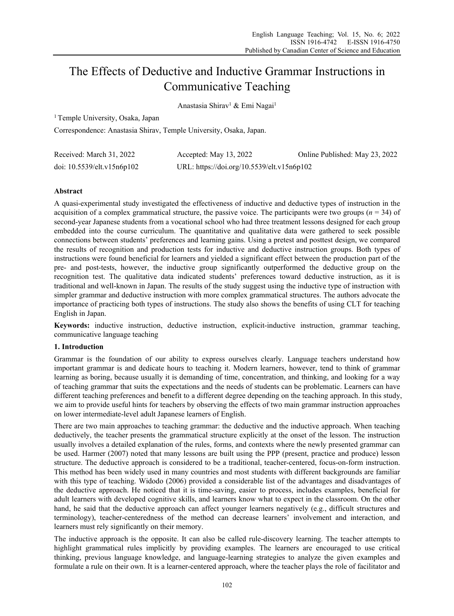# The Effects of Deductive and Inductive Grammar Instructions in Communicative Teaching

Anastasia Shirav<sup>1</sup> & Emi Nagai<sup>1</sup>

<sup>1</sup> Temple University, Osaka, Japan

Correspondence: Anastasia Shirav, Temple University, Osaka, Japan.

| Received: March 31, 2022   | Accepted: May 13, 2022                     | Online Published: May 23, 2022 |
|----------------------------|--------------------------------------------|--------------------------------|
| doi: 10.5539/elt.v15n6p102 | URL: https://doi.org/10.5539/elt.v15n6p102 |                                |

# **Abstract**

A quasi-experimental study investigated the effectiveness of inductive and deductive types of instruction in the acquisition of a complex grammatical structure, the passive voice. The participants were two groups (*n* = 34) of second-year Japanese students from a vocational school who had three treatment lessons designed for each group embedded into the course curriculum. The quantitative and qualitative data were gathered to seek possible connections between students' preferences and learning gains. Using a pretest and posttest design, we compared the results of recognition and production tests for inductive and deductive instruction groups. Both types of instructions were found beneficial for learners and yielded a significant effect between the production part of the pre- and post-tests, however, the inductive group significantly outperformed the deductive group on the recognition test. The qualitative data indicated students' preferences toward deductive instruction, as it is traditional and well-known in Japan. The results of the study suggest using the inductive type of instruction with simpler grammar and deductive instruction with more complex grammatical structures. The authors advocate the importance of practicing both types of instructions. The study also shows the benefits of using CLT for teaching English in Japan.

**Keywords:** inductive instruction, deductive instruction, explicit-inductive instruction, grammar teaching, communicative language teaching

# **1. Introduction**

Grammar is the foundation of our ability to express ourselves clearly. Language teachers understand how important grammar is and dedicate hours to teaching it. Modern learners, however, tend to think of grammar learning as boring, because usually it is demanding of time, concentration, and thinking, and looking for a way of teaching grammar that suits the expectations and the needs of students can be problematic. Learners can have different teaching preferences and benefit to a different degree depending on the teaching approach. In this study, we aim to provide useful hints for teachers by observing the effects of two main grammar instruction approaches on lower intermediate-level adult Japanese learners of English.

There are two main approaches to teaching grammar: the deductive and the inductive approach. When teaching deductively, the teacher presents the grammatical structure explicitly at the onset of the lesson. The instruction usually involves a detailed explanation of the rules, forms, and contexts where the newly presented grammar can be used. Harmer (2007) noted that many lessons are built using the PPP (present, practice and produce) lesson structure. The deductive approach is considered to be a traditional, teacher-centered, focus-on-form instruction. This method has been widely used in many countries and most students with different backgrounds are familiar with this type of teaching. Widodo (2006) provided a considerable list of the advantages and disadvantages of the deductive approach. He noticed that it is time-saving, easier to process, includes examples, beneficial for adult learners with developed cognitive skills, and learners know what to expect in the classroom. On the other hand, he said that the deductive approach can affect younger learners negatively (e.g., difficult structures and terminology), teacher-centeredness of the method can decrease learners' involvement and interaction, and learners must rely significantly on their memory.

The inductive approach is the opposite. It can also be called rule-discovery learning. The teacher attempts to highlight grammatical rules implicitly by providing examples. The learners are encouraged to use critical thinking, previous language knowledge, and language-learning strategies to analyze the given examples and formulate a rule on their own. It is a learner-centered approach, where the teacher plays the role of facilitator and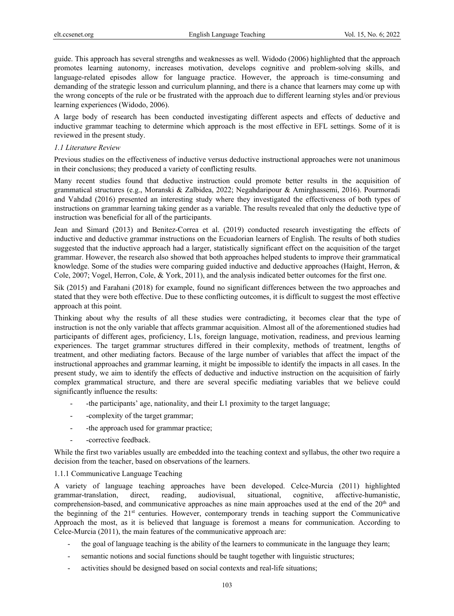guide. This approach has several strengths and weaknesses as well. Widodo (2006) highlighted that the approach promotes learning autonomy, increases motivation, develops cognitive and problem-solving skills, and language-related episodes allow for language practice. However, the approach is time-consuming and demanding of the strategic lesson and curriculum planning, and there is a chance that learners may come up with the wrong concepts of the rule or be frustrated with the approach due to different learning styles and/or previous learning experiences (Widodo, 2006).

A large body of research has been conducted investigating different aspects and effects of deductive and inductive grammar teaching to determine which approach is the most effective in EFL settings. Some of it is reviewed in the present study.

# *1.1 Literature Review*

Previous studies on the effectiveness of inductive versus deductive instructional approaches were not unanimous in their conclusions; they produced a variety of conflicting results.

Many recent studies found that deductive instruction could promote better results in the acquisition of grammatical structures (e.g., Moranski & Zalbidea, 2022; Negahdaripour & Amirghassemi, 2016). Pourmoradi and Vahdad (2016) presented an interesting study where they investigated the effectiveness of both types of instructions on grammar learning taking gender as a variable. The results revealed that only the deductive type of instruction was beneficial for all of the participants.

Jean and Simard (2013) and Benitez-Correa et al. (2019) conducted research investigating the effects of inductive and deductive grammar instructions on the Ecuadorian learners of English. The results of both studies suggested that the inductive approach had a larger, statistically significant effect on the acquisition of the target grammar. However, the research also showed that both approaches helped students to improve their grammatical knowledge. Some of the studies were comparing guided inductive and deductive approaches (Haight, Herron, & Cole, 2007; Vogel, Herron, Cole, & York, 2011), and the analysis indicated better outcomes for the first one.

Sik (2015) and Farahani (2018) for example, found no significant differences between the two approaches and stated that they were both effective. Due to these conflicting outcomes, it is difficult to suggest the most effective approach at this point.

Thinking about why the results of all these studies were contradicting, it becomes clear that the type of instruction is not the only variable that affects grammar acquisition. Almost all of the aforementioned studies had participants of different ages, proficiency, L1s, foreign language, motivation, readiness, and previous learning experiences. The target grammar structures differed in their complexity, methods of treatment, lengths of treatment, and other mediating factors. Because of the large number of variables that affect the impact of the instructional approaches and grammar learning, it might be impossible to identify the impacts in all cases. In the present study, we aim to identify the effects of deductive and inductive instruction on the acquisition of fairly complex grammatical structure, and there are several specific mediating variables that we believe could significantly influence the results:

- -the participants' age, nationality, and their L1 proximity to the target language;
- -complexity of the target grammar;
- the approach used for grammar practice;
- -corrective feedback.

While the first two variables usually are embedded into the teaching context and syllabus, the other two require a decision from the teacher, based on observations of the learners.

# 1.1.1 Communicative Language Teaching

A variety of language teaching approaches have been developed. Celce-Murcia (2011) highlighted grammar-translation, direct, reading, audiovisual, situational, cognitive, affective-humanistic, comprehension-based, and communicative approaches as nine main approaches used at the end of the 20<sup>th</sup> and the beginning of the 21<sup>st</sup> centuries. However, contemporary trends in teaching support the Communicative Approach the most, as it is believed that language is foremost a means for communication. According to Celce-Murcia (2011), the main features of the communicative approach are:

- the goal of language teaching is the ability of the learners to communicate in the language they learn;
- semantic notions and social functions should be taught together with linguistic structures;
- activities should be designed based on social contexts and real-life situations;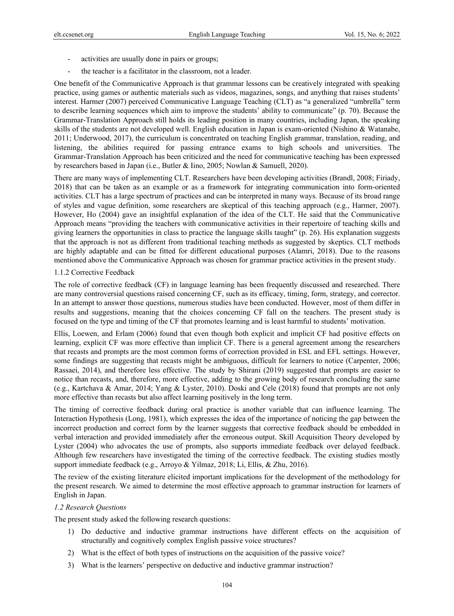- activities are usually done in pairs or groups;
- the teacher is a facilitator in the classroom, not a leader.

One benefit of the Communicative Approach is that grammar lessons can be creatively integrated with speaking practice, using games or authentic materials such as videos, magazines, songs, and anything that raises students' interest. Harmer (2007) perceived Communicative Language Teaching (CLT) as "a generalized "umbrella" term to describe learning sequences which aim to improve the students' ability to communicate" (p. 70). Because the Grammar-Translation Approach still holds its leading position in many countries, including Japan, the speaking skills of the students are not developed well. English education in Japan is exam-oriented (Nishino & Watanabe, 2011; Underwood, 2017), the curriculum is concentrated on teaching English grammar, translation, reading, and listening, the abilities required for passing entrance exams to high schools and universities. The Grammar-Translation Approach has been criticized and the need for communicative teaching has been expressed by researchers based in Japan (i.e., Butler & Iino, 2005; Nowlan & Samuell, 2020).

There are many ways of implementing CLT. Researchers have been developing activities (Brandl, 2008; Firiady, 2018) that can be taken as an example or as a framework for integrating communication into form-oriented activities. CLT has a large spectrum of practices and can be interpreted in many ways. Because of its broad range of styles and vague definition, some researchers are skeptical of this teaching approach (e.g., Harmer, 2007). However, Ho (2004) gave an insightful explanation of the idea of the CLT. He said that the Communicative Approach means "providing the teachers with communicative activities in their repertoire of teaching skills and giving learners the opportunities in class to practice the language skills taught" (p. 26). His explanation suggests that the approach is not as different from traditional teaching methods as suggested by skeptics. CLT methods are highly adaptable and can be fitted for different educational purposes (Alamri, 2018). Due to the reasons mentioned above the Communicative Approach was chosen for grammar practice activities in the present study.

# 1.1.2 Corrective Feedback

The role of corrective feedback (CF) in language learning has been frequently discussed and researched. There are many controversial questions raised concerning CF, such as its efficacy, timing, form, strategy, and corrector. In an attempt to answer those questions, numerous studies have been conducted. However, most of them differ in results and suggestions, meaning that the choices concerning CF fall on the teachers. The present study is focused on the type and timing of the CF that promotes learning and is least harmful to students' motivation.

Ellis, Loewen, and Erlam (2006) found that even though both explicit and implicit CF had positive effects on learning, explicit CF was more effective than implicit CF. There is a general agreement among the researchers that recasts and prompts are the most common forms of correction provided in ESL and EFL settings. However, some findings are suggesting that recasts might be ambiguous, difficult for learners to notice (Carpenter, 2006; Rassaei, 2014), and therefore less effective. The study by Shirani (2019) suggested that prompts are easier to notice than recasts, and, therefore, more effective, adding to the growing body of research concluding the same (e.g., Kartchava & Amar, 2014; Yang & Lyster, 2010). Doski and Cele (2018) found that prompts are not only more effective than recasts but also affect learning positively in the long term.

The timing of corrective feedback during oral practice is another variable that can influence learning. The Interaction Hypothesis (Long, 1981), which expresses the idea of the importance of noticing the gap between the incorrect production and correct form by the learner suggests that corrective feedback should be embedded in verbal interaction and provided immediately after the erroneous output. Skill Acquisition Theory developed by Lyster (2004) who advocates the use of prompts, also supports immediate feedback over delayed feedback. Although few researchers have investigated the timing of the corrective feedback. The existing studies mostly support immediate feedback (e.g., Arroyo & Yilmaz, 2018; Li, Ellis, & Zhu, 2016).

The review of the existing literature elicited important implications for the development of the methodology for the present research. We aimed to determine the most effective approach to grammar instruction for learners of English in Japan.

# *1.2 Research Questions*

The present study asked the following research questions:

- 1) Do deductive and inductive grammar instructions have different effects on the acquisition of structurally and cognitively complex English passive voice structures?
- 2) What is the effect of both types of instructions on the acquisition of the passive voice?
- 3) What is the learners' perspective on deductive and inductive grammar instruction?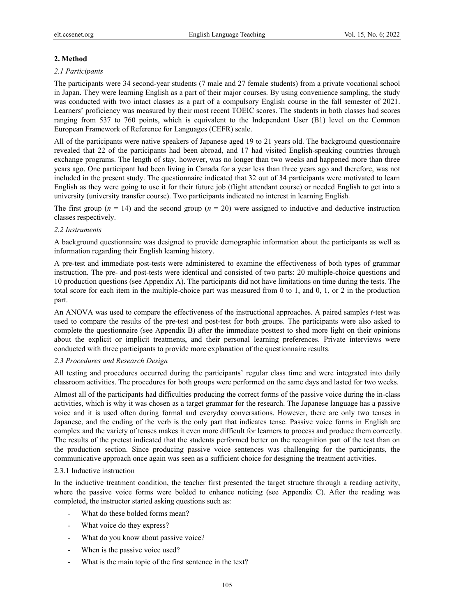# **2. Method**

# *2.1 Participants*

The participants were 34 second-year students (7 male and 27 female students) from a private vocational school in Japan. They were learning English as a part of their major courses. By using convenience sampling, the study was conducted with two intact classes as a part of a compulsory English course in the fall semester of 2021. Learners' proficiency was measured by their most recent TOEIC scores. The students in both classes had scores ranging from 537 to 760 points, which is equivalent to the Independent User (B1) level on the Common European Framework of Reference for Languages (CEFR) scale.

All of the participants were native speakers of Japanese aged 19 to 21 years old. The background questionnaire revealed that 22 of the participants had been abroad, and 17 had visited English-speaking countries through exchange programs. The length of stay, however, was no longer than two weeks and happened more than three years ago. One participant had been living in Canada for a year less than three years ago and therefore, was not included in the present study. The questionnaire indicated that 32 out of 34 participants were motivated to learn English as they were going to use it for their future job (flight attendant course) or needed English to get into a university (university transfer course). Two participants indicated no interest in learning English.

The first group ( $n = 14$ ) and the second group ( $n = 20$ ) were assigned to inductive and deductive instruction classes respectively.

# *2.2 Instruments*

A background questionnaire was designed to provide demographic information about the participants as well as information regarding their English learning history.

A pre-test and immediate post-tests were administered to examine the effectiveness of both types of grammar instruction. The pre- and post-tests were identical and consisted of two parts: 20 multiple-choice questions and 10 production questions (see Appendix A). The participants did not have limitations on time during the tests. The total score for each item in the multiple-choice part was measured from 0 to 1, and 0, 1, or 2 in the production part.

An ANOVA was used to compare the effectiveness of the instructional approaches. A paired samples *t*-test was used to compare the results of the pre-test and post-test for both groups. The participants were also asked to complete the questionnaire (see Appendix B) after the immediate posttest to shed more light on their opinions about the explicit or implicit treatments, and their personal learning preferences. Private interviews were conducted with three participants to provide more explanation of the questionnaire results.

# *2.3 Procedures and Research Design*

All testing and procedures occurred during the participants' regular class time and were integrated into daily classroom activities. The procedures for both groups were performed on the same days and lasted for two weeks.

Almost all of the participants had difficulties producing the correct forms of the passive voice during the in-class activities, which is why it was chosen as a target grammar for the research. The Japanese language has a passive voice and it is used often during formal and everyday conversations. However, there are only two tenses in Japanese, and the ending of the verb is the only part that indicates tense. Passive voice forms in English are complex and the variety of tenses makes it even more difficult for learners to process and produce them correctly. The results of the pretest indicated that the students performed better on the recognition part of the test than on the production section. Since producing passive voice sentences was challenging for the participants, the communicative approach once again was seen as a sufficient choice for designing the treatment activities.

# 2.3.1 Inductive instruction

In the inductive treatment condition, the teacher first presented the target structure through a reading activity, where the passive voice forms were bolded to enhance noticing (see Appendix C). After the reading was completed, the instructor started asking questions such as:

- What do these bolded forms mean?
- What voice do they express?
- What do you know about passive voice?
- When is the passive voice used?
- What is the main topic of the first sentence in the text?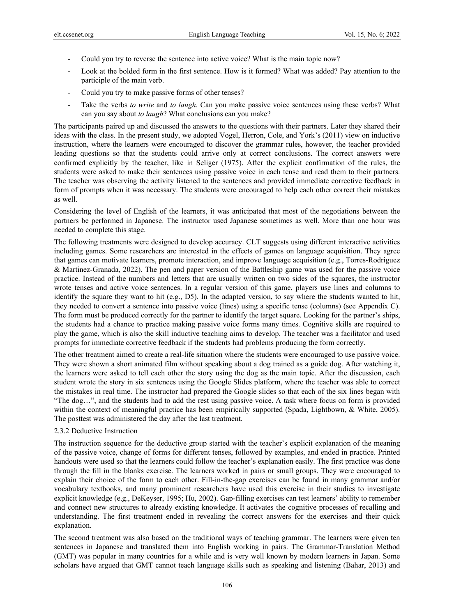- Could you try to reverse the sentence into active voice? What is the main topic now?
- Look at the bolded form in the first sentence. How is it formed? What was added? Pay attention to the participle of the main verb.
- Could you try to make passive forms of other tenses?
- Take the verbs *to write* and *to laugh*. Can you make passive voice sentences using these verbs? What can you say about *to laugh*? What conclusions can you make?

The participants paired up and discussed the answers to the questions with their partners. Later they shared their ideas with the class. In the present study, we adopted Vogel, Herron, Cole, and York's (2011) view on inductive instruction, where the learners were encouraged to discover the grammar rules, however, the teacher provided leading questions so that the students could arrive only at correct conclusions. The correct answers were confirmed explicitly by the teacher, like in Seliger (1975). After the explicit confirmation of the rules, the students were asked to make their sentences using passive voice in each tense and read them to their partners. The teacher was observing the activity listened to the sentences and provided immediate corrective feedback in form of prompts when it was necessary. The students were encouraged to help each other correct their mistakes as well.

Considering the level of English of the learners, it was anticipated that most of the negotiations between the partners be performed in Japanese. The instructor used Japanese sometimes as well. More than one hour was needed to complete this stage.

The following treatments were designed to develop accuracy. CLT suggests using different interactive activities including games. Some researchers are interested in the effects of games on language acquisition. They agree that games can motivate learners, promote interaction, and improve language acquisition (e.g., Torres-Rodriguez & Martinez-Granada, 2022). The pen and paper version of the Battleship game was used for the passive voice practice. Instead of the numbers and letters that are usually written on two sides of the squares, the instructor wrote tenses and active voice sentences. In a regular version of this game, players use lines and columns to identify the square they want to hit (e.g., D5). In the adapted version, to say where the students wanted to hit, they needed to convert a sentence into passive voice (lines) using a specific tense (columns) (see Appendix C). The form must be produced correctly for the partner to identify the target square. Looking for the partner's ships, the students had a chance to practice making passive voice forms many times. Cognitive skills are required to play the game, which is also the skill inductive teaching aims to develop. The teacher was a facilitator and used prompts for immediate corrective feedback if the students had problems producing the form correctly.

The other treatment aimed to create a real-life situation where the students were encouraged to use passive voice. They were shown a short animated film without speaking about a dog trained as a guide dog. After watching it, the learners were asked to tell each other the story using the dog as the main topic. After the discussion, each student wrote the story in six sentences using the Google Slides platform, where the teacher was able to correct the mistakes in real time. The instructor had prepared the Google slides so that each of the six lines began with "The dog…", and the students had to add the rest using passive voice. A task where focus on form is provided within the context of meaningful practice has been empirically supported (Spada, Lightbown, & White, 2005). The posttest was administered the day after the last treatment.

# 2.3.2 Deductive Instruction

The instruction sequence for the deductive group started with the teacher's explicit explanation of the meaning of the passive voice, change of forms for different tenses, followed by examples, and ended in practice. Printed handouts were used so that the learners could follow the teacher's explanation easily. The first practice was done through the fill in the blanks exercise. The learners worked in pairs or small groups. They were encouraged to explain their choice of the form to each other. Fill-in-the-gap exercises can be found in many grammar and/or vocabulary textbooks, and many prominent researchers have used this exercise in their studies to investigate explicit knowledge (e.g., DeKeyser, 1995; Hu, 2002). Gap-filling exercises can test learners' ability to remember and connect new structures to already existing knowledge. It activates the cognitive processes of recalling and understanding. The first treatment ended in revealing the correct answers for the exercises and their quick explanation.

The second treatment was also based on the traditional ways of teaching grammar. The learners were given ten sentences in Japanese and translated them into English working in pairs. The Grammar-Translation Method (GMT) was popular in many countries for a while and is very well known by modern learners in Japan. Some scholars have argued that GMT cannot teach language skills such as speaking and listening (Bahar, 2013) and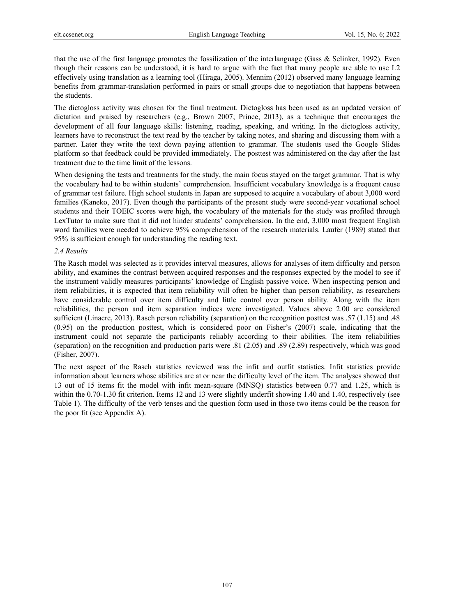that the use of the first language promotes the fossilization of the interlanguage (Gass & Selinker, 1992). Even though their reasons can be understood, it is hard to argue with the fact that many people are able to use L2 effectively using translation as a learning tool (Hiraga, 2005). Mennim (2012) observed many language learning benefits from grammar-translation performed in pairs or small groups due to negotiation that happens between the students.

The dictogloss activity was chosen for the final treatment. Dictogloss has been used as an updated version of dictation and praised by researchers (e.g., Brown 2007; Prince, 2013), as a technique that encourages the development of all four language skills: listening, reading, speaking, and writing. In the dictogloss activity, learners have to reconstruct the text read by the teacher by taking notes, and sharing and discussing them with a partner. Later they write the text down paying attention to grammar. The students used the Google Slides platform so that feedback could be provided immediately. The posttest was administered on the day after the last treatment due to the time limit of the lessons.

When designing the tests and treatments for the study, the main focus stayed on the target grammar. That is why the vocabulary had to be within students' comprehension. Insufficient vocabulary knowledge is a frequent cause of grammar test failure. High school students in Japan are supposed to acquire a vocabulary of about 3,000 word families (Kaneko, 2017). Even though the participants of the present study were second-year vocational school students and their TOEIC scores were high, the vocabulary of the materials for the study was profiled through LexTutor to make sure that it did not hinder students' comprehension. In the end, 3,000 most frequent English word families were needed to achieve 95% comprehension of the research materials. Laufer (1989) stated that 95% is sufficient enough for understanding the reading text.

## *2.4 Results*

The Rasch model was selected as it provides interval measures, allows for analyses of item difficulty and person ability, and examines the contrast between acquired responses and the responses expected by the model to see if the instrument validly measures participants' knowledge of English passive voice. When inspecting person and item reliabilities, it is expected that item reliability will often be higher than person reliability, as researchers have considerable control over item difficulty and little control over person ability. Along with the item reliabilities, the person and item separation indices were investigated. Values above 2.00 are considered sufficient (Linacre, 2013). Rasch person reliability (separation) on the recognition posttest was .57 (1.15) and .48 (0.95) on the production posttest, which is considered poor on Fisher's (2007) scale, indicating that the instrument could not separate the participants reliably according to their abilities. The item reliabilities (separation) on the recognition and production parts were .81 (2.05) and .89 (2.89) respectively, which was good (Fisher, 2007).

The next aspect of the Rasch statistics reviewed was the infit and outfit statistics. Infit statistics provide information about learners whose abilities are at or near the difficulty level of the item. The analyses showed that 13 out of 15 items fit the model with infit mean-square (MNSQ) statistics between 0.77 and 1.25, which is within the 0.70-1.30 fit criterion. Items 12 and 13 were slightly underfit showing 1.40 and 1.40, respectively (see Table 1). The difficulty of the verb tenses and the question form used in those two items could be the reason for the poor fit (see Appendix A).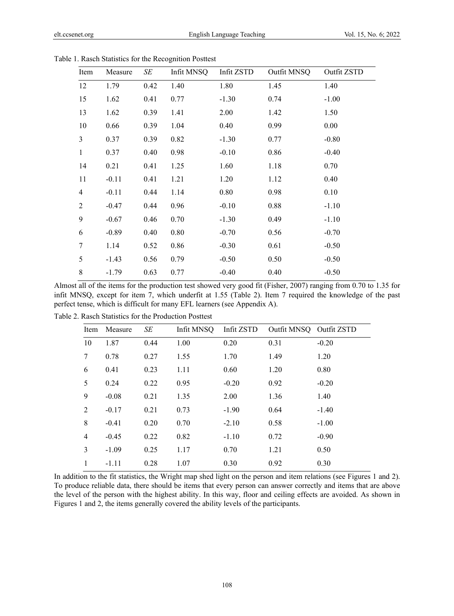| Item           | Measure | SE   | Infit MNSQ | Infit ZSTD | Outfit MNSQ | Outfit ZSTD |
|----------------|---------|------|------------|------------|-------------|-------------|
| 12             | 1.79    | 0.42 | 1.40       | 1.80       | 1.45        | 1.40        |
| 15             | 1.62    | 0.41 | 0.77       | $-1.30$    | 0.74        | $-1.00$     |
| 13             | 1.62    | 0.39 | 1.41       | 2.00       | 1.42        | 1.50        |
| 10             | 0.66    | 0.39 | 1.04       | 0.40       | 0.99        | 0.00        |
| 3              | 0.37    | 0.39 | 0.82       | $-1.30$    | 0.77        | $-0.80$     |
| $\mathbf{1}$   | 0.37    | 0.40 | 0.98       | $-0.10$    | 0.86        | $-0.40$     |
| 14             | 0.21    | 0.41 | 1.25       | 1.60       | 1.18        | 0.70        |
| 11             | $-0.11$ | 0.41 | 1.21       | 1.20       | 1.12        | 0.40        |
| $\overline{4}$ | $-0.11$ | 0.44 | 1.14       | 0.80       | 0.98        | 0.10        |
| 2              | $-0.47$ | 0.44 | 0.96       | $-0.10$    | 0.88        | $-1.10$     |
| 9              | $-0.67$ | 0.46 | 0.70       | $-1.30$    | 0.49        | $-1.10$     |
| 6              | $-0.89$ | 0.40 | 0.80       | $-0.70$    | 0.56        | $-0.70$     |
| 7              | 1.14    | 0.52 | 0.86       | $-0.30$    | 0.61        | $-0.50$     |
| 5              | $-1.43$ | 0.56 | 0.79       | $-0.50$    | 0.50        | $-0.50$     |
| 8              | $-1.79$ | 0.63 | 0.77       | $-0.40$    | 0.40        | $-0.50$     |

Table 1. Rasch Statistics for the Recognition Posttest

Almost all of the items for the production test showed very good fit (Fisher, 2007) ranging from 0.70 to 1.35 for infit MNSQ, except for item 7, which underfit at 1.55 (Table 2). Item 7 required the knowledge of the past perfect tense, which is difficult for many EFL learners (see Appendix A).

| Item           | Measure | SE   | Infit MNSQ | Infit ZSTD | Outfit MNSQ Outfit ZSTD |         |
|----------------|---------|------|------------|------------|-------------------------|---------|
| 10             | 1.87    | 0.44 | 1.00       | 0.20       | 0.31                    | $-0.20$ |
| 7              | 0.78    | 0.27 | 1.55       | 1.70       | 1.49                    | 1.20    |
| 6              | 0.41    | 0.23 | 1.11       | 0.60       | 1.20                    | 0.80    |
| 5              | 0.24    | 0.22 | 0.95       | $-0.20$    | 0.92                    | $-0.20$ |
| 9              | $-0.08$ | 0.21 | 1.35       | 2.00       | 1.36                    | 1.40    |
| 2              | $-0.17$ | 0.21 | 0.73       | $-1.90$    | 0.64                    | $-1.40$ |
| 8              | $-0.41$ | 0.20 | 0.70       | $-2.10$    | 0.58                    | $-1.00$ |
| $\overline{4}$ | $-0.45$ | 0.22 | 0.82       | $-1.10$    | 0.72                    | $-0.90$ |
| 3              | $-1.09$ | 0.25 | 1.17       | 0.70       | 1.21                    | 0.50    |
| 1              | $-1.11$ | 0.28 | 1.07       | 0.30       | 0.92                    | 0.30    |

Table 2. Rasch Statistics for the Production Posttest

In addition to the fit statistics, the Wright map shed light on the person and item relations (see Figures 1 and 2). To produce reliable data, there should be items that every person can answer correctly and items that are above the level of the person with the highest ability. In this way, floor and ceiling effects are avoided. As shown in Figures 1 and 2, the items generally covered the ability levels of the participants.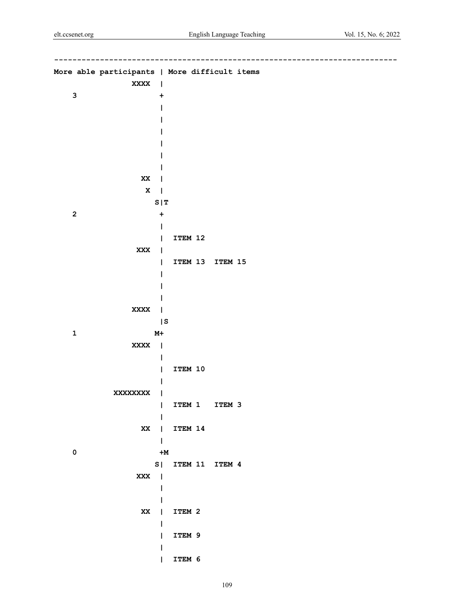|                           | More able participants   More difficult items |                   |              |                   |  |
|---------------------------|-----------------------------------------------|-------------------|--------------|-------------------|--|
|                           | XXXX                                          | $\mathbf{I}$      |              |                   |  |
| $\ensuremath{\mathsf{3}}$ |                                               | +                 |              |                   |  |
|                           |                                               |                   |              |                   |  |
|                           |                                               |                   |              |                   |  |
|                           |                                               |                   |              |                   |  |
|                           |                                               |                   |              |                   |  |
|                           |                                               |                   |              |                   |  |
|                           |                                               |                   |              |                   |  |
|                           | $\mathbf{X} \mathbf{X}$                       | ı                 |              |                   |  |
|                           | $\mathbf x$                                   | 1                 |              |                   |  |
|                           |                                               | S   T             |              |                   |  |
| $\mathbf 2$               |                                               | +                 |              |                   |  |
|                           |                                               |                   | ITEM 12      |                   |  |
|                           | XXX                                           | I<br>$\mathbf{I}$ |              |                   |  |
|                           |                                               | L                 | ITEM 13      | ITEM 15           |  |
|                           |                                               |                   |              |                   |  |
|                           |                                               |                   |              |                   |  |
|                           |                                               |                   |              |                   |  |
|                           | XXXX                                          | J.                |              |                   |  |
|                           |                                               | S                 |              |                   |  |
| $\mathbf 1$               |                                               | $M+$              |              |                   |  |
|                           | XXXX                                          | $\mathsf{l}$      |              |                   |  |
|                           |                                               |                   |              |                   |  |
|                           |                                               | I                 | ITEM 10      |                   |  |
|                           |                                               |                   |              |                   |  |
|                           | <b>XXXXXXXX</b>                               | I                 |              |                   |  |
|                           |                                               | $\mathbf{I}$      |              | ITEM 1 ITEM 3     |  |
|                           |                                               | L                 | XX   ITEM 14 |                   |  |
|                           |                                               | $\sim$ 1          |              |                   |  |
| $\pmb{0}$                 |                                               | $+M$              |              |                   |  |
|                           |                                               |                   |              | S  ITEM 11 ITEM 4 |  |
|                           | XXX                                           |                   |              |                   |  |
|                           |                                               | $\mathbf{I}$      |              |                   |  |
|                           |                                               | L                 |              |                   |  |
|                           |                                               |                   | XX   ITEM 2  |                   |  |
|                           |                                               | $\mathbf{I}$      |              |                   |  |
|                           |                                               | T                 | ITEM 9       |                   |  |
|                           |                                               | L                 |              |                   |  |
|                           |                                               | L                 | ITEM 6       |                   |  |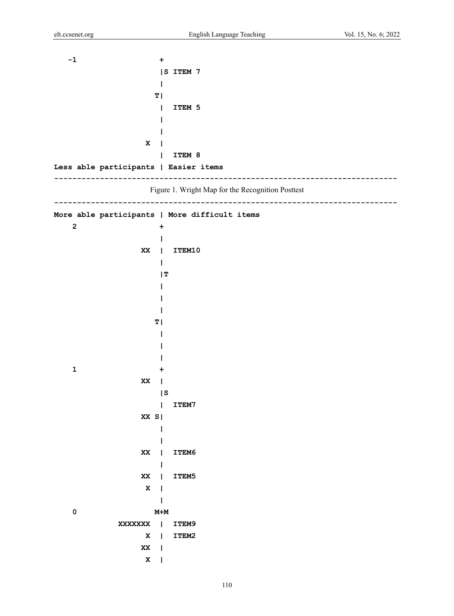**-1** +  **|S ITEM 7 | T**  $\vert$  **T**  $\vert$  **| ITEM 5 | | X | | ITEM 8 Less able participants | Easier items ---------------------------------------------------------------------------**  Figure 1. Wright Map for the Recognition Posttest **--------------------------------------------------------------------------- More able participants | More difficult items 2** +  **| XX | ITEM10 |**  *IT*  **| | | T**  $\vert$  **| | | 1** +  **XX | 1999 1999 1999 1999 1999 | ITEM7 XX S| | | XX | ITEM6 | XX | ITEM5 X | | 0 M+M XXXXXXX | ITEM9 X | ITEM2 xx** |  **X |**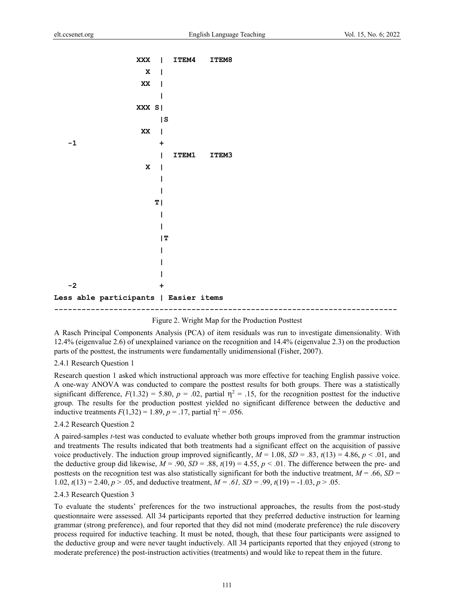| XXX                                   |          | <b>ITEM4</b> | ITEM8 |
|---------------------------------------|----------|--------------|-------|
| $\mathbf x$                           |          |              |       |
| $\mathbf{X} \mathbf{X}$               |          |              |       |
|                                       |          |              |       |
| XXX S                                 |          |              |       |
|                                       | $\mid$ S |              |       |
| $\mathbf{X} \mathbf{X}$               |          |              |       |
| $-1$                                  | ٠        |              |       |
|                                       |          | <b>ITEM1</b> | ITEM3 |
| $\mathbf x$                           |          |              |       |
|                                       |          |              |       |
|                                       |          |              |       |
|                                       | ΤI       |              |       |
|                                       |          |              |       |
|                                       |          |              |       |
|                                       | T        |              |       |
|                                       |          |              |       |
|                                       |          |              |       |
|                                       |          |              |       |
| $-2$                                  |          |              |       |
| Less able participants   Easier items |          |              |       |
|                                       |          |              |       |



A Rasch Principal Components Analysis (PCA) of item residuals was run to investigate dimensionality. With 12.4% (eigenvalue 2.6) of unexplained variance on the recognition and 14.4% (eigenvalue 2.3) on the production parts of the posttest, the instruments were fundamentally unidimensional (Fisher, 2007).

### 2.4.1 Research Question 1

Research question 1 asked which instructional approach was more effective for teaching English passive voice. A one-way ANOVA was conducted to compare the posttest results for both groups. There was a statistically significant difference,  $F(1.32) = 5.80$ ,  $p = .02$ , partial  $\eta^2 = .15$ , for the recognition posttest for the inductive group. The results for the production posttest yielded no significant difference between the deductive and inductive treatments  $F(1,32) = 1.89, p = .17$ , partial  $\eta^2 = .056$ .

#### 2.4.2 Research Question 2

A paired-samples *t*-test was conducted to evaluate whether both groups improved from the grammar instruction and treatments The results indicated that both treatments had a significant effect on the acquisition of passive voice productively. The induction group improved significantly,  $M = 1.08$ ,  $SD = .83$ ,  $t(13) = 4.86$ ,  $p < .01$ , and the deductive group did likewise,  $M = .90$ ,  $SD = .88$ ,  $t(19) = 4.55$ ,  $p < .01$ . The difference between the pre- and posttests on the recognition test was also statistically significant for both the inductive treatment,  $M = .66$ ,  $SD =$ 1.02, *t*(13) = 2.40, *p* > .05, and deductive treatment, *M = .61, SD = .*99, *t*(19) = -1.03, *p* > .05.

#### 2.4.3 Research Question 3

To evaluate the students' preferences for the two instructional approaches, the results from the post-study questionnaire were assessed. All 34 participants reported that they preferred deductive instruction for learning grammar (strong preference), and four reported that they did not mind (moderate preference) the rule discovery process required for inductive teaching. It must be noted, though, that these four participants were assigned to the deductive group and were never taught inductively. All 34 participants reported that they enjoyed (strong to moderate preference) the post-instruction activities (treatments) and would like to repeat them in the future.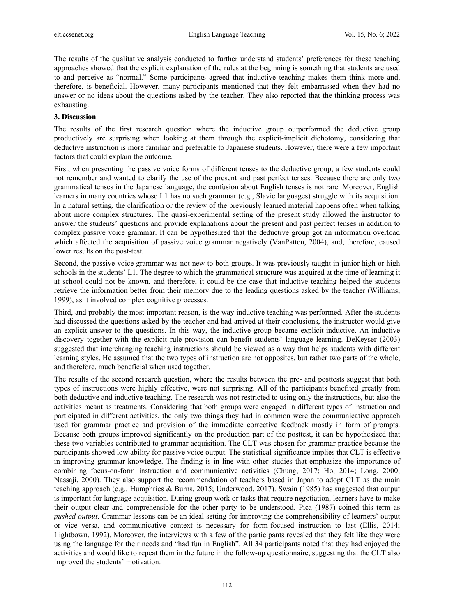The results of the qualitative analysis conducted to further understand students' preferences for these teaching approaches showed that the explicit explanation of the rules at the beginning is something that students are used to and perceive as "normal." Some participants agreed that inductive teaching makes them think more and, therefore, is beneficial. However, many participants mentioned that they felt embarrassed when they had no answer or no ideas about the questions asked by the teacher. They also reported that the thinking process was exhausting.

### **3. Discussion**

The results of the first research question where the inductive group outperformed the deductive group productively are surprising when looking at them through the explicit-implicit dichotomy, considering that deductive instruction is more familiar and preferable to Japanese students. However, there were a few important factors that could explain the outcome.

First, when presenting the passive voice forms of different tenses to the deductive group, a few students could not remember and wanted to clarify the use of the present and past perfect tenses. Because there are only two grammatical tenses in the Japanese language, the confusion about English tenses is not rare. Moreover, English learners in many countries whose L1 has no such grammar (e.g*.*, Slavic languages) struggle with its acquisition. In a natural setting, the clarification or the review of the previously learned material happens often when talking about more complex structures. The quasi-experimental setting of the present study allowed the instructor to answer the students' questions and provide explanations about the present and past perfect tenses in addition to complex passive voice grammar. It can be hypothesized that the deductive group got an information overload which affected the acquisition of passive voice grammar negatively (VanPatten, 2004), and, therefore, caused lower results on the post-test.

Second, the passive voice grammar was not new to both groups. It was previously taught in junior high or high schools in the students' L1. The degree to which the grammatical structure was acquired at the time of learning it at school could not be known, and therefore, it could be the case that inductive teaching helped the students retrieve the information better from their memory due to the leading questions asked by the teacher (Williams, 1999), as it involved complex cognitive processes.

Third, and probably the most important reason, is the way inductive teaching was performed. After the students had discussed the questions asked by the teacher and had arrived at their conclusions, the instructor would give an explicit answer to the questions. In this way, the inductive group became explicit-inductive. An inductive discovery together with the explicit rule provision can benefit students' language learning. DeKeyser (2003) suggested that interchanging teaching instructions should be viewed as a way that helps students with different learning styles. He assumed that the two types of instruction are not opposites, but rather two parts of the whole, and therefore, much beneficial when used together.

The results of the second research question, where the results between the pre- and posttests suggest that both types of instructions were highly effective, were not surprising. All of the participants benefited greatly from both deductive and inductive teaching. The research was not restricted to using only the instructions, but also the activities meant as treatments. Considering that both groups were engaged in different types of instruction and participated in different activities, the only two things they had in common were the communicative approach used for grammar practice and provision of the immediate corrective feedback mostly in form of prompts. Because both groups improved significantly on the production part of the posttest, it can be hypothesized that these two variables contributed to grammar acquisition. The CLT was chosen for grammar practice because the participants showed low ability for passive voice output. The statistical significance implies that CLT is effective in improving grammar knowledge. The finding is in line with other studies that emphasize the importance of combining focus-on-form instruction and communicative activities (Chung, 2017; Ho, 2014; Long, 2000; Nassaji, 2000). They also support the recommendation of teachers based in Japan to adopt CLT as the main teaching approach (e.g., Humphries & Burns, 2015; Underwood, 2017). Swain (1985) has suggested that output is important for language acquisition. During group work or tasks that require negotiation, learners have to make their output clear and comprehensible for the other party to be understood. Pica (1987) coined this term as *pushed output*. Grammar lessons can be an ideal setting for improving the comprehensibility of learners' output or vice versa, and communicative context is necessary for form-focused instruction to last (Ellis, 2014; Lightbown, 1992). Moreover, the interviews with a few of the participants revealed that they felt like they were using the language for their needs and "had fun in English". All 34 participants noted that they had enjoyed the activities and would like to repeat them in the future in the follow-up questionnaire, suggesting that the CLT also improved the students' motivation.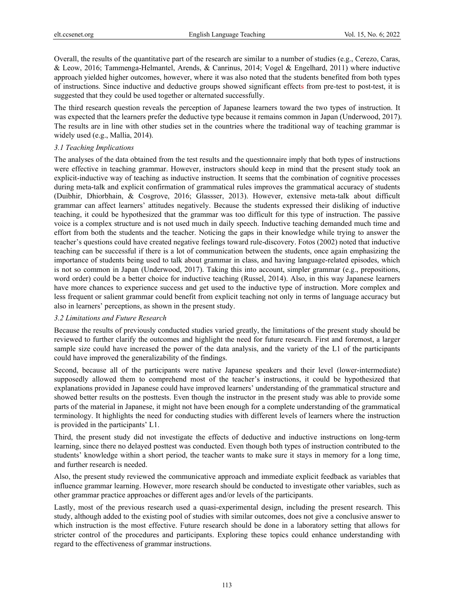Overall, the results of the quantitative part of the research are similar to a number of studies (e.g., Cerezo, Caras, & Leow, 2016; Tammenga-Helmantel, Arends, & Canrinus, 2014; Vogel & Engelhard, 2011) where inductive approach yielded higher outcomes, however, where it was also noted that the students benefited from both types of instructions. Since inductive and deductive groups showed significant effects from pre-test to post-test, it is suggested that they could be used together or alternated successfully.

The third research question reveals the perception of Japanese learners toward the two types of instruction. It was expected that the learners prefer the deductive type because it remains common in Japan (Underwood, 2017). The results are in line with other studies set in the countries where the traditional way of teaching grammar is widely used (e.g., Mallia, 2014).

## *3.1 Teaching Implications*

The analyses of the data obtained from the test results and the questionnaire imply that both types of instructions were effective in teaching grammar. However, instructors should keep in mind that the present study took an explicit-inductive way of teaching as inductive instruction. It seems that the combination of cognitive processes during meta-talk and explicit confirmation of grammatical rules improves the grammatical accuracy of students (Duibhir, Dhiorbhain, & Cosgrove, 2016; Glassser, 2013). However, extensive meta-talk about difficult grammar can affect learners' attitudes negatively. Because the students expressed their disliking of inductive teaching, it could be hypothesized that the grammar was too difficult for this type of instruction. The passive voice is a complex structure and is not used much in daily speech. Inductive teaching demanded much time and effort from both the students and the teacher. Noticing the gaps in their knowledge while trying to answer the teacher's questions could have created negative feelings toward rule-discovery. Fotos (2002) noted that inductive teaching can be successful if there is a lot of communication between the students, once again emphasizing the importance of students being used to talk about grammar in class, and having language-related episodes, which is not so common in Japan (Underwood, 2017). Taking this into account, simpler grammar (e.g., prepositions, word order) could be a better choice for inductive teaching (Russel, 2014). Also, in this way Japanese learners have more chances to experience success and get used to the inductive type of instruction. More complex and less frequent or salient grammar could benefit from explicit teaching not only in terms of language accuracy but also in learners' perceptions, as shown in the present study.

# *3.2 Limitations and Future Research*

Because the results of previously conducted studies varied greatly, the limitations of the present study should be reviewed to further clarify the outcomes and highlight the need for future research. First and foremost, a larger sample size could have increased the power of the data analysis, and the variety of the L1 of the participants could have improved the generalizability of the findings.

Second, because all of the participants were native Japanese speakers and their level (lower-intermediate) supposedly allowed them to comprehend most of the teacher's instructions, it could be hypothesized that explanations provided in Japanese could have improved learners' understanding of the grammatical structure and showed better results on the posttests. Even though the instructor in the present study was able to provide some parts of the material in Japanese, it might not have been enough for a complete understanding of the grammatical terminology. It highlights the need for conducting studies with different levels of learners where the instruction is provided in the participants' L1.

Third, the present study did not investigate the effects of deductive and inductive instructions on long-term learning, since there no delayed posttest was conducted. Even though both types of instruction contributed to the students' knowledge within a short period, the teacher wants to make sure it stays in memory for a long time, and further research is needed.

Also, the present study reviewed the communicative approach and immediate explicit feedback as variables that influence grammar learning. However, more research should be conducted to investigate other variables, such as other grammar practice approaches or different ages and/or levels of the participants.

Lastly, most of the previous research used a quasi-experimental design, including the present research. This study, although added to the existing pool of studies with similar outcomes, does not give a conclusive answer to which instruction is the most effective. Future research should be done in a laboratory setting that allows for stricter control of the procedures and participants. Exploring these topics could enhance understanding with regard to the effectiveness of grammar instructions.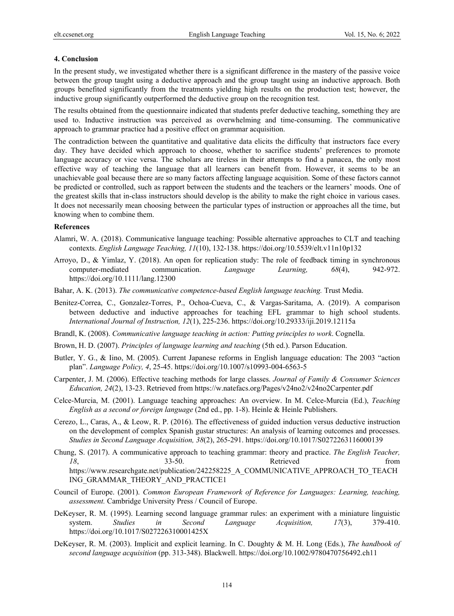#### **4. Conclusion**

In the present study, we investigated whether there is a significant difference in the mastery of the passive voice between the group taught using a deductive approach and the group taught using an inductive approach. Both groups benefited significantly from the treatments yielding high results on the production test; however, the inductive group significantly outperformed the deductive group on the recognition test.

The results obtained from the questionnaire indicated that students prefer deductive teaching, something they are used to. Inductive instruction was perceived as overwhelming and time-consuming. The communicative approach to grammar practice had a positive effect on grammar acquisition.

The contradiction between the quantitative and qualitative data elicits the difficulty that instructors face every day. They have decided which approach to choose, whether to sacrifice students' preferences to promote language accuracy or vice versa. The scholars are tireless in their attempts to find a panacea, the only most effective way of teaching the language that all learners can benefit from. However, it seems to be an unachievable goal because there are so many factors affecting language acquisition. Some of these factors cannot be predicted or controlled, such as rapport between the students and the teachers or the learners' moods. One of the greatest skills that in-class instructors should develop is the ability to make the right choice in various cases. It does not necessarily mean choosing between the particular types of instruction or approaches all the time, but knowing when to combine them.

#### **References**

- Alamri, W. A. (2018). Communicative language teaching: Possible alternative approaches to CLT and teaching contexts. *English Language Teaching, 11*(10), 132-138. https://doi.org/10.5539/elt.v11n10p132
- Arroyo, D., & Yimlaz, Y. (2018). An open for replication study: The role of feedback timing in synchronous computer-mediated communication. *Language Learning, 68*(4), 942-972. https://doi.org/10.1111/lang.12300
- Bahar, A. K. (2013). *The communicative competence-based English language teaching.* Trust Media.
- Benitez-Correa, C., Gonzalez-Torres, P., Ochoa-Cueva, C., & Vargas-Saritama, A. (2019). A comparison between deductive and inductive approaches for teaching EFL grammar to high school students. *International Journal of Instruction, 12*(1), 225-236. https://doi.org/10.29333/iji.2019.12115a
- Brandl, K. (2008). *Communicative language teaching in action: Putting principles to work*. Cognella.
- Brown, H. D. (2007). *Principles of language learning and teaching* (5th ed.). Parson Education.
- Butler, Y. G., & Iino, M. (2005). Current Japanese reforms in English language education: The 2003 "action plan". *Language Policy, 4*, 25-45. https://doi.org/10.1007/s10993-004-6563-5
- Carpenter, J. M. (2006). Effective teaching methods for large classes. *Journal of Family & Consumer Sciences Education, 24*(2), 13-23. Retrieved from https://w.natefacs.org/Pages/v24no2/v24no2Carpenter.pdf
- Celce-Murcia, M. (2001). Language teaching approaches: An overview. In M. Celce-Murcia (Ed.), *Teaching English as a second or foreign language* (2nd ed., pp. 1-8). Heinle & Heinle Publishers.
- Cerezo, L., Caras, A., & Leow, R. P. (2016). The effectiveness of guided induction versus deductive instruction on the development of complex Spanish gustar structures: An analysis of learning outcomes and processes. *Studies in Second Language Acquisition, 38*(2), 265-291. https://doi.org/10.1017/S0272263116000139
- Chung, S. (2017). A communicative approach to teaching grammar: theory and practice. *The English Teacher, 18*, 33-50. Retrieved from https://www.researchgate.net/publication/242258225\_A\_COMMUNICATIVE\_APPROACH\_TO\_TEACH ING\_GRAMMAR\_THEORY\_AND\_PRACTICE1
- Council of Europe. (2001). *Common European Framework of Reference for Languages: Learning, teaching, assessment.* Cambridge University Press / Council of Europe.
- DeKeyser, R. M. (1995). Learning second language grammar rules: an experiment with a miniature linguistic system. *Studies in Second Language Acquisition, 17*(3), 379-410. https://doi.org/10.1017/S027226310001425X
- DeKeyser, R. M. (2003). Implicit and explicit learning. In C. Doughty & M. H. Long (Eds.), *The handbook of second language acquisition* (pp. 313-348). Blackwell. https://doi.org/10.1002/9780470756492.ch11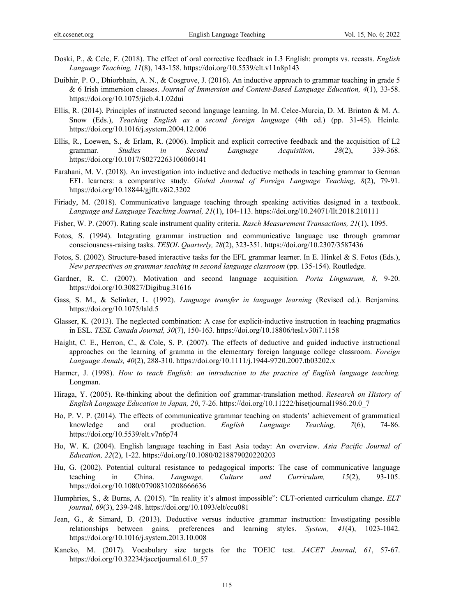- Doski, P., & Cele, F. (2018). The effect of oral corrective feedback in L3 English: prompts vs. recasts. *English Language Teaching, 11*(8), 143-158. https://doi.org/10.5539/elt.v11n8p143
- Duibhir, P. O., Dhiorbhain, A. N., & Cosgrove, J. (2016). An inductive approach to grammar teaching in grade 5 & 6 Irish immersion classes. *Journal of Immersion and Content-Based Language Education, 4*(1), 33-58. https://doi.org/10.1075/jicb.4.1.02dui
- Ellis, R. (2014). Principles of instructed second language learning. In M. Celce-Murcia, D. M. Brinton & M. A. Snow (Eds.), *Teaching English as a second foreign language* (4th ed.) (pp. 31-45). Heinle. https://doi.org/10.1016/j.system.2004.12.006
- Ellis, R., Loewen, S., & Erlam, R. (2006). Implicit and explicit corrective feedback and the acquisition of L2 grammar. *Studies in Second Language Acquisition, 28*(2), 339-368. https://doi.org/10.1017/S0272263106060141
- Farahani, M. V. (2018). An investigation into inductive and deductive methods in teaching grammar to German EFL learners: a comparative study. *Global Journal of Foreign Language Teaching, 8*(2), 79-91. https://doi.org/10.18844/gjflt.v8i2.3202
- Firiady, M. (2018). Communicative language teaching through speaking activities designed in a textbook. *Language and Language Teaching Journal, 21*(1), 104-113. https://doi.org/10.24071/llt.2018.210111
- Fisher, W. P. (2007). Rating scale instrument quality criteria. *Rasch Measurement Transactions, 21*(1), 1095.
- Fotos, S. (1994). Integrating grammar instruction and communicative language use through grammar consciousness-raising tasks. *TESOL Quarterly, 28*(2), 323-351. https://doi.org/10.2307/3587436
- Fotos, S. (2002). Structure-based interactive tasks for the EFL grammar learner. In E. Hinkel & S. Fotos (Eds.), *New perspectives on grammar teaching in second language classroom* (pp. 135-154). Routledge.
- Gardner, R. C. (2007). Motivation and second language acquisition. *Porta Linguarum, 8*, 9-20. https://doi.org/10.30827/Digibug.31616
- Gass, S. M., & Selinker, L. (1992). *Language transfer in language learning* (Revised ed.). Benjamins. https://doi.org/10.1075/lald.5
- Glasser, K. (2013). The neglected combination: A case for explicit-inductive instruction in teaching pragmatics in ESL. *TESL Canada Journal, 30*(7), 150-163. https://doi.org/10.18806/tesl.v30i7.1158
- Haight, C. E., Herron, C., & Cole, S. P. (2007). The effects of deductive and guided inductive instructional approaches on the learning of gramma in the elementary foreign language college classroom. *Foreign Language Annals, 40*(2), 288-310. https://doi.org/10.1111/j.1944-9720.2007.tb03202.x
- Harmer, J. (1998). *How to teach English: an introduction to the practice of English language teaching.* Longman.
- Hiraga, Y. (2005). Re-thinking about the definition oof grammar-translation method. *Research on History of English Language Education in Japan, 20*, 7-26. https://doi.org/10.11222/hisetjournal1986.20.0\_7
- Ho, P. V. P. (2014). The effects of communicative grammar teaching on students' achievement of grammatical knowledge and oral production. *English Language Teaching, 7*(6), 74-86. https://doi.org/10.5539/elt.v7n6p74
- Ho, W. K. (2004). English language teaching in East Asia today: An overview. *Asia Pacific Journal of Education, 22*(2), 1-22. https://doi.org/10.1080/0218879020220203
- Hu, G. (2002). Potential cultural resistance to pedagogical imports: The case of communicative language teaching in China. *Language, Culture and Curriculum, 15*(2), 93-105. https://doi.org/10.1080/07908310208666636
- Humphries, S., & Burns, A. (2015). "In reality it's almost impossible": CLT-oriented curriculum change. *ELT journal, 69*(3), 239-248. https://doi.org/10.1093/elt/ccu081
- Jean, G., & Simard, D. (2013). Deductive versus inductive grammar instruction: Investigating possible relationships between gains, preferences and learning styles. *System, 41*(4), 1023-1042. https://doi.org/10.1016/j.system.2013.10.008
- Kaneko, M. (2017). Vocabulary size targets for the TOEIC test. *JACET Journal, 61*, 57-67. https://doi.org/10.32234/jacetjournal.61.0\_57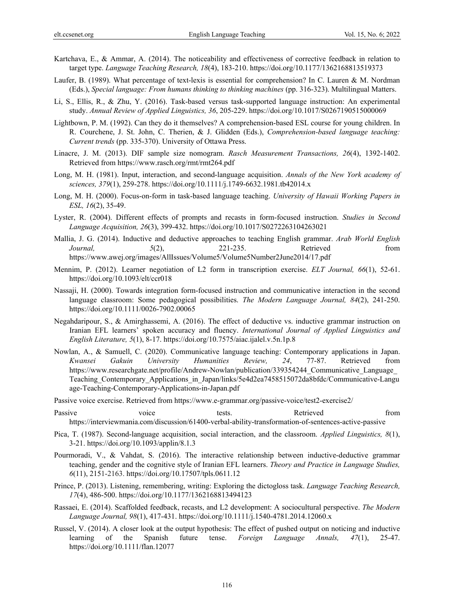- Kartchava, E., & Ammar, A. (2014). The noticeability and effectiveness of corrective feedback in relation to target type. *Language Teaching Research, 18*(4), 183-210. https://doi.org/10.1177/1362168813519373
- Laufer, B. (1989). What percentage of text-lexis is essential for comprehension? In C. Lauren & M. Nordman (Eds.), *Special language: From humans thinking to thinking machines* (pp. 316-323). Multilingual Matters.
- Li, S., Ellis, R., & Zhu, Y. (2016). Task-based versus task-supported language instruction: An experimental study. *Annual Review of Applied Linguistics, 36*, 205-229. https://doi.org/10.1017/S0267190515000069
- Lightbown, P. M. (1992). Can they do it themselves? A comprehension-based ESL course for young children. In R. Courchene, J. St. John, C. Therien, & J. Glidden (Eds.), *Comprehension-based language teaching: Current trends* (pp. 335-370). University of Ottawa Press.
- Linacre, J. M. (2013). DIF sample size nomogram. *Rasch Measurement Transactions, 26*(4), 1392-1402. Retrieved from https://www.rasch.org/rmt/rmt264.pdf
- Long, M. H. (1981). Input, interaction, and second-language acquisition. *Annals of the New York academy of sciences, 379*(1), 259-278. https://doi.org/10.1111/j.1749-6632.1981.tb42014.x
- Long, M. H. (2000). Focus-on-form in task-based language teaching. *University of Hawaii Working Papers in ESL, 16*(2), 35-49.
- Lyster, R. (2004). Different effects of prompts and recasts in form-focused instruction. *Studies in Second Language Acquisition, 26*(3), 399-432. https://doi.org/10.1017/S0272263104263021
- Mallia, J. G. (2014). Inductive and deductive approaches to teaching English grammar. *Arab World English Journal,* 5(2), 221-235. Retrieved from https://www.awej.org/images/AllIssues/Volume5/Volume5Number2June2014/17.pdf
- Mennim, P. (2012). Learner negotiation of L2 form in transcription exercise. *ELT Journal, 66*(1), 52-61. https://doi.org/10.1093/elt/ccr018
- Nassaji, H. (2000). Towards integration form-focused instruction and communicative interaction in the second language classroom: Some pedagogical possibilities. *The Modern Language Journal, 84*(2), 241-250. https://doi.org/10.1111/0026-7902.00065
- Negahdaripour, S., & Amirghassemi, A. (2016). The effect of deductive vs. inductive grammar instruction on Iranian EFL learners' spoken accuracy and fluency. *International Journal of Applied Linguistics and English Literature, 5*(1), 8-17. https://doi.org/10.7575/aiac.ijalel.v.5n.1p.8
- Nowlan, A., & Samuell, C. (2020). Communicative language teaching: Contemporary applications in Japan. *Kwansei Gakuin University Humanities Review, 24*, 77-87. Retrieved from https://www.researchgate.net/profile/Andrew-Nowlan/publication/339354244 Communicative Language Teaching Contemporary Applications in Japan/links/5e4d2ea7458515072da8bfdc/Communicative-Langu age-Teaching-Contemporary-Applications-in-Japan.pdf
- Passive voice exercise. Retrieved from https://www.e-grammar.org/passive-voice/test2-exercise2/
- Passive voice tests. Retrieved from https://interviewmania.com/discussion/61400-verbal-ability-transformation-of-sentences-active-passive
- Pica, T. (1987). Second-language acquisition, social interaction, and the classroom. *Applied Linguistics, 8*(1), 3-21. https://doi.org/10.1093/applin/8.1.3
- Pourmoradi, V., & Vahdat, S. (2016). The interactive relationship between inductive-deductive grammar teaching, gender and the cognitive style of Iranian EFL learners. *Theory and Practice in Language Studies, 6*(11), 2151-2163. https://doi.org/10.17507/tpls.0611.12
- Prince, P. (2013). Listening, remembering, writing: Exploring the dictogloss task. *Language Teaching Research, 17*(4), 486-500. https://doi.org/10.1177/1362168813494123
- Rassaei, E. (2014). Scaffolded feedback, recasts, and L2 development: A sociocultural perspective. *The Modern Language Journal, 98*(1), 417-431. https://doi.org/10.1111/j.1540-4781.2014.12060.x
- Russel, V. (2014). A closer look at the output hypothesis: The effect of pushed output on noticing and inductive learning of the Spanish future tense. *Foreign Language Annals, 47*(1), 25-47. https://doi.org/10.1111/flan.12077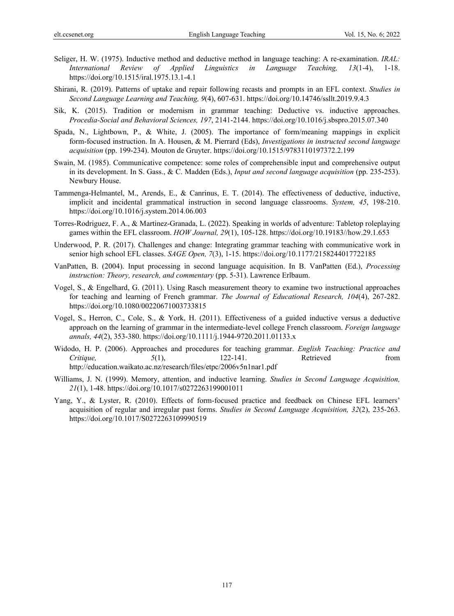- Seliger, H. W. (1975). Inductive method and deductive method in language teaching: A re-examination. *IRAL: International Review of Applied Linguistics in Language Teaching, 13*(1-4), 1-18. https://doi.org/10.1515/iral.1975.13.1-4.1
- Shirani, R. (2019). Patterns of uptake and repair following recasts and prompts in an EFL context. *Studies in Second Language Learning and Teaching, 9*(4), 607-631. https://doi.org/10.14746/ssllt.2019.9.4.3
- Sik, K. (2015). Tradition or modernism in grammar teaching: Deductive vs. inductive approaches. *Procedia-Social and Behavioral Sciences, 197*, 2141-2144. https://doi.org/10.1016/j.sbspro.2015.07.340
- Spada, N., Lightbown, P., & White, J. (2005). The importance of form/meaning mappings in explicit form-focused instruction. In A. Housen, & M. Pierrard (Eds), *Investigations in instructed second language acquisition* (pp. 199-234). Mouton de Gruyter. https://doi.org/10.1515/9783110197372.2.199
- Swain, M. (1985). Communicative competence: some roles of comprehensible input and comprehensive output in its development. In S. Gass., & C. Madden (Eds.), *Input and second language acquisition* (pp. 235-253). Newbury House.
- Tammenga-Helmantel, M., Arends, E., & Canrinus, E. T. (2014). The effectiveness of deductive, inductive, implicit and incidental grammatical instruction in second language classrooms. *System, 45*, 198-210. https://doi.org/10.1016/j.system.2014.06.003
- Torres-Rodriguez, F. A., & Martinez-Granada, L. (2022). Speaking in worlds of adventure: Tabletop roleplaying games within the EFL classroom. *HOW Journal, 29*(1), 105-128. https://doi.org/10.19183//how.29.1.653
- Underwood, P. R. (2017). Challenges and change: Integrating grammar teaching with communicative work in senior high school EFL classes. *SAGE Open, 7*(3), 1-15. https://doi.org/10.1177/2158244017722185
- VanPatten, B. (2004). Input processing in second language acquisition. In B. VanPatten (Ed.), *Processing instruction: Theory, research, and commentary* (pp. 5-31). Lawrence Erlbaum.
- Vogel, S., & Engelhard, G. (2011). Using Rasch measurement theory to examine two instructional approaches for teaching and learning of French grammar. *The Journal of Educational Research, 104*(4), 267-282. https://doi.org/10.1080/00220671003733815
- Vogel, S., Herron, C., Cole, S., & York, H. (2011). Effectiveness of a guided inductive versus a deductive approach on the learning of grammar in the intermediate-level college French classroom. *Foreign language annals, 44*(2), 353-380. https://doi.org/10.1111/j.1944-9720.2011.01133.x
- Widodo, H. P. (2006). Approaches and procedures for teaching grammar. *English Teaching: Practice and Critique, 5*(1), 122-141. Retrieved from http://education.waikato.ac.nz/research/files/etpc/2006v5n1nar1.pdf
- Williams, J. N. (1999). Memory, attention, and inductive learning. *Studies in Second Language Acquisition, 21*(1), 1-48. https://doi.org/10.1017/s0272263199001011
- Yang, Y., & Lyster, R. (2010). Effects of form-focused practice and feedback on Chinese EFL learners' acquisition of regular and irregular past forms. *Studies in Second Language Acquisition, 32*(2), 235-263. https://doi.org/10.1017/S0272263109990519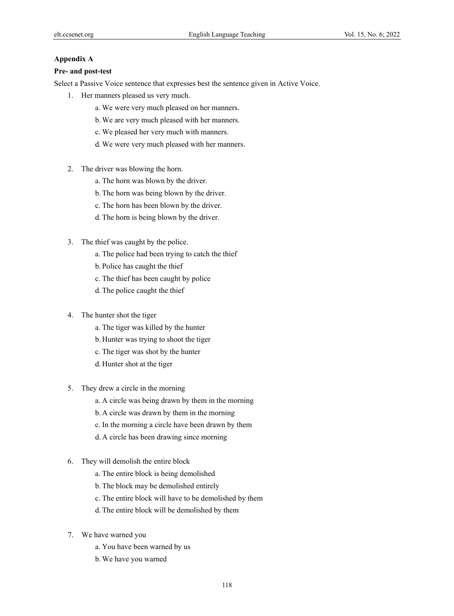## **Appendix A**

#### **Pre- and post-test**

Select a Passive Voice sentence that expresses best the sentence given in Active Voice.

- 1. Her manners pleased us very much.
	- a. We were very much pleased on her manners.
	- b. We are very much pleased with her manners.
	- c. We pleased her very much with manners.
	- d. We were very much pleased with her manners.
- 2. The driver was blowing the horn.
	- a. The horn was blown by the driver.
	- b. The horn was being blown by the driver.
	- c. The horn has been blown by the driver.
	- d. The horn is being blown by the driver.
- 3. The thief was caught by the police.
	- a. The police had been trying to catch the thief
	- b. Police has caught the thief
	- c. The thief has been caught by police
	- d. The police caught the thief
- 4. The hunter shot the tiger
	- a. The tiger was killed by the hunter
	- b. Hunter was trying to shoot the tiger
	- c. The tiger was shot by the hunter
	- d. Hunter shot at the tiger
- 5. They drew a circle in the morning
	- a. A circle was being drawn by them in the morning
	- b. A circle was drawn by them in the morning
	- c. In the morning a circle have been drawn by them
	- d. A circle has been drawing since morning
- 6. They will demolish the entire block
	- a. The entire block is being demolished
	- b. The block may be demolished entirely
	- c. The entire block will have to be demolished by them
	- d. The entire block will be demolished by them
- 7. We have warned you
	- a. You have been warned by us
	- b. We have you warned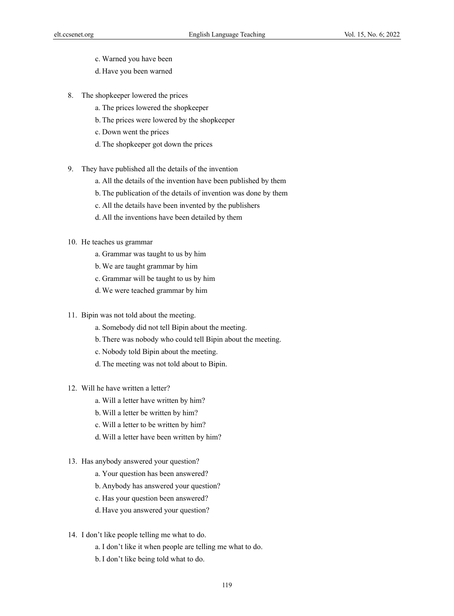- c. Warned you have been
- d. Have you been warned
- 8. The shopkeeper lowered the prices
	- a. The prices lowered the shopkeeper
	- b. The prices were lowered by the shopkeeper
	- c. Down went the prices
	- d. The shopkeeper got down the prices
- 9. They have published all the details of the invention
	- a. All the details of the invention have been published by them
	- b. The publication of the details of invention was done by them
	- c. All the details have been invented by the publishers
	- d. All the inventions have been detailed by them
- 10. He teaches us grammar
	- a. Grammar was taught to us by him
	- b. We are taught grammar by him
	- c. Grammar will be taught to us by him
	- d. We were teached grammar by him
- 11. Bipin was not told about the meeting.
	- a. Somebody did not tell Bipin about the meeting.
	- b. There was nobody who could tell Bipin about the meeting.
	- c. Nobody told Bipin about the meeting.
	- d. The meeting was not told about to Bipin.
- 12. Will he have written a letter?
	- a. Will a letter have written by him?
	- b. Will a letter be written by him?
	- c. Will a letter to be written by him?
	- d. Will a letter have been written by him?
- 13. Has anybody answered your question?
	- a. Your question has been answered?
	- b. Anybody has answered your question?
	- c. Has your question been answered?
	- d. Have you answered your question?
- 14. I don't like people telling me what to do.
	- a. I don't like it when people are telling me what to do.
	- b.I don't like being told what to do.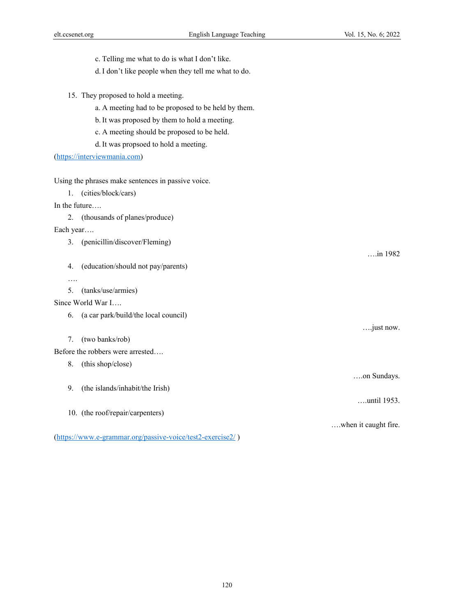- c. Telling me what to do is what I don't like.
- d.I don't like people when they tell me what to do.
- 15. They proposed to hold a meeting.
	- a. A meeting had to be proposed to be held by them.
	- b.It was proposed by them to hold a meeting.
	- c. A meeting should be proposed to be held.
	- d.It was propsoed to hold a meeting.

(https://interviewmania.com)

Using the phrases make sentences in passive voice.

1. (cities/block/cars)

In the future….

2. (thousands of planes/produce)

Each year….

- 3. (penicillin/discover/Fleming)
- 4. (education/should not pay/parents)
- ….
- 5. (tanks/use/armies)

# Since World War I….

6. (a car park/build/the local council)

7. (two banks/rob)

Before the robbers were arrested….

- 8. (this shop/close)
- 9. (the islands/inhabit/the Irish)
- 10. (the roof/repair/carpenters)

(https://www.e-grammar.org/passive-voice/test2-exercise2/ )

….just now.

….on Sundays.

….until 1953.

….when it caught fire.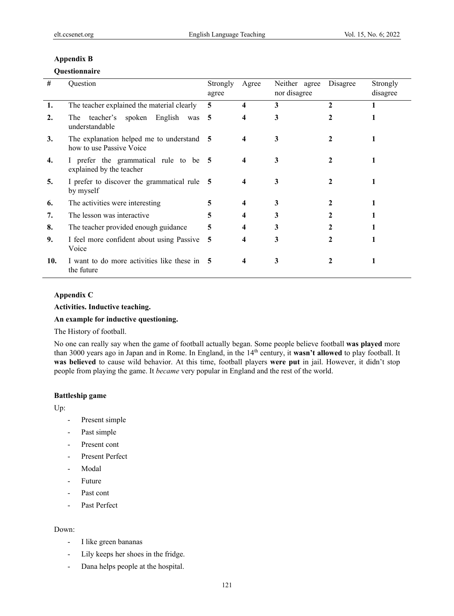# **Appendix B**

# **Questionnaire**

| #   | Question                                                              | Strongly<br>agree | Agree                   | Neither agree<br>nor disagree | Disagree | Strongly<br>disagree |
|-----|-----------------------------------------------------------------------|-------------------|-------------------------|-------------------------------|----------|----------------------|
| 1.  | The teacher explained the material clearly                            | 5                 | $\overline{\mathbf{4}}$ | 3                             | 2        |                      |
| 2.  | teacher's spoken English<br>The <sub>1</sub><br>was<br>understandable | 5                 | 4                       | 3                             | 2        |                      |
| 3.  | The explanation helped me to understand 5<br>how to use Passive Voice |                   | 4                       | 3                             |          |                      |
| 4.  | I prefer the grammatical rule to be 5<br>explained by the teacher     |                   | $\boldsymbol{4}$        | 3                             | 2        |                      |
| 5.  | I prefer to discover the grammatical rule 5<br>by myself              |                   | 4                       | 3                             | 2        |                      |
| 6.  | The activities were interesting                                       | 5                 | 4                       | 3                             | 2        |                      |
| 7.  | The lesson was interactive                                            | 5                 | 4                       | 3                             |          |                      |
| 8.  | The teacher provided enough guidance                                  | 5                 |                         |                               |          |                      |
| 9.  | I feel more confident about using Passive<br>Voice                    | 5                 | 4                       | 3                             | 2        |                      |
| 10. | I want to do more activities like these in 5<br>the future            |                   | 4                       | 3                             |          |                      |

# **Appendix C**

**Activities. Inductive teaching.** 

# **An example for inductive questioning.**

# The History of football.

No one can really say when the game of football actually began. Some people believe football **was played** more than 3000 years ago in Japan and in Rome. In England, in the 14th century, it **wasn't allowed** to play football. It **was believed** to cause wild behavior. At this time, football players **were put** in jail. However, it didn't stop people from playing the game. It *became* very popular in England and the rest of the world.

# **Battleship game**

Up:

- Present simple
- Past simple
- Present cont
- Present Perfect
- Modal
- Future
- Past cont
- Past Perfect

# Down:

- I like green bananas
- Lily keeps her shoes in the fridge.
- Dana helps people at the hospital.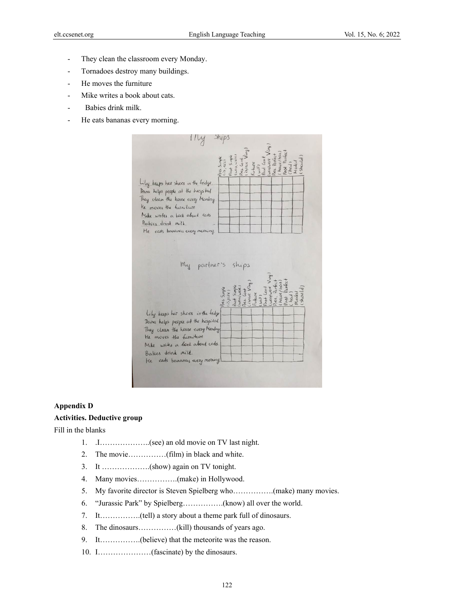- They clean the classroom every Monday.
- Tornadoes destroy many buildings.
- He moves the furniture
- Mike writes a book about cats.
- Babies drink milk.
- He eats bananas every morning.



# **Appendix D**

# **Activities. Deductive group**

Fill in the blanks

- 1. .I………………..(see) an old movie on TV last night.
- 2. The movie……………(film) in black and white.
- 3. It ……………….(show) again on TV tonight.
- 4. Many movies…………….(make) in Hollywood.
- 5. My favorite director is Steven Spielberg who…………….(make) many movies.
- 6. "Jurassic Park" by Spielberg…………….(know) all over the world.
- 7. It…………….(tell) a story about a theme park full of dinosaurs.
- 8. The dinosaurs……………(kill) thousands of years ago.
- 9. It…………….(believe) that the meteorite was the reason.
- 10. I…………………(fascinate) by the dinosaurs.